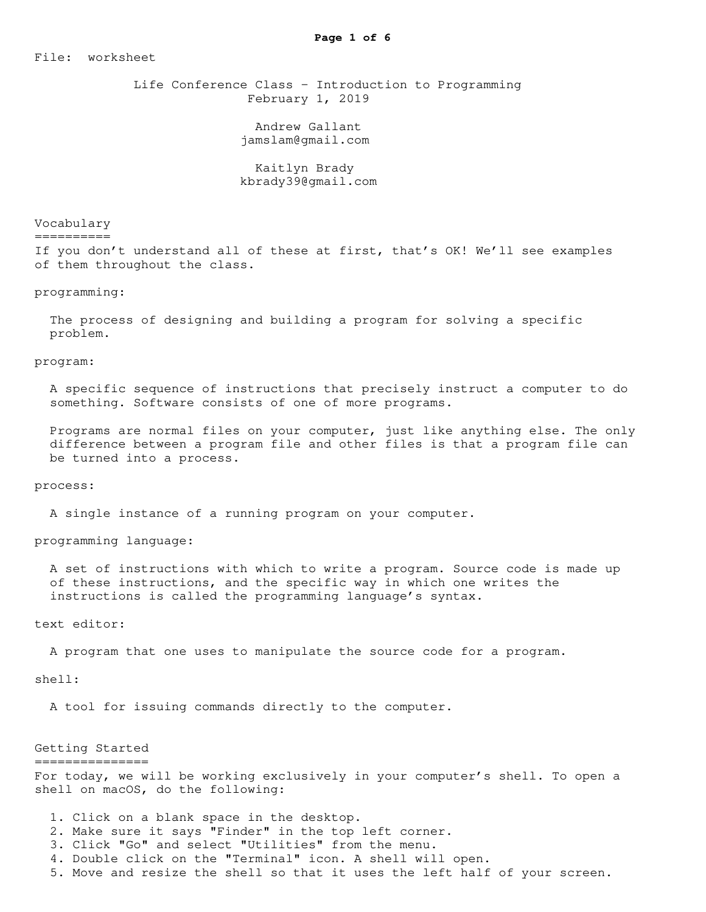File: worksheet

 Life Conference Class - Introduction to Programming February 1, 2019

> Andrew Gallant jamslam@gmail.com

 Kaitlyn Brady kbrady39@gmail.com

Vocabulary

==========

If you don't understand all of these at first, that's OK! We'll see examples of them throughout the class.

#### programming:

 The process of designing and building a program for solving a specific problem.

program:

 A specific sequence of instructions that precisely instruct a computer to do something. Software consists of one of more programs.

 Programs are normal files on your computer, just like anything else. The only difference between a program file and other files is that a program file can be turned into a process.

process:

A single instance of a running program on your computer.

programming language:

 A set of instructions with which to write a program. Source code is made up of these instructions, and the specific way in which one writes the instructions is called the programming language's syntax.

text editor:

A program that one uses to manipulate the source code for a program.

shell:

A tool for issuing commands directly to the computer.

### Getting Started ===============

For today, we will be working exclusively in your computer's shell. To open a shell on macOS, do the following:

1. Click on a blank space in the desktop.

- 2. Make sure it says "Finder" in the top left corner.
- 3. Click "Go" and select "Utilities" from the menu.

4. Double click on the "Terminal" icon. A shell will open.

5. Move and resize the shell so that it uses the left half of your screen.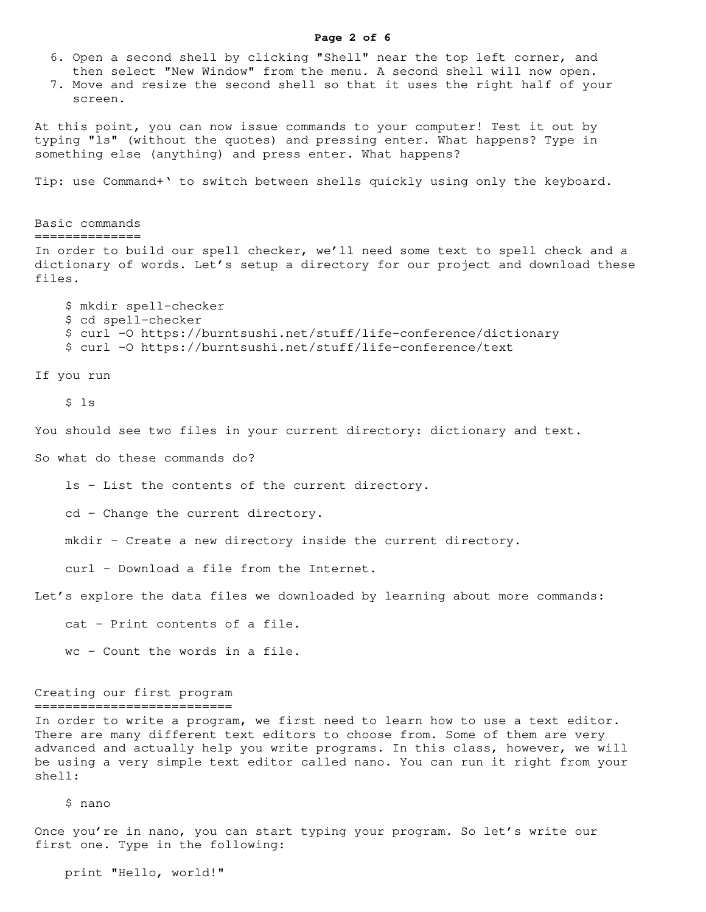### **Page 2 of 6**

- 6. Open a second shell by clicking "Shell" near the top left corner, and then select "New Window" from the menu. A second shell will now open.
- 7. Move and resize the second shell so that it uses the right half of your screen.

At this point, you can now issue commands to your computer! Test it out by typing "ls" (without the quotes) and pressing enter. What happens? Type in something else (anything) and press enter. What happens?

Tip: use Command+' to switch between shells quickly using only the keyboard.

Basic commands ============== In order to build our spell checker, we'll need some text to spell check and a dictionary of words. Let's setup a directory for our project and download these files.

 \$ mkdir spell-checker \$ cd spell-checker \$ curl -O https://burntsushi.net/stuff/life-conference/dictionary \$ curl -O https://burntsushi.net/stuff/life-conference/text

If you run

\$ ls

You should see two files in your current directory: dictionary and text.

So what do these commands do?

ls - List the contents of the current directory.

cd - Change the current directory.

mkdir - Create a new directory inside the current directory.

curl - Download a file from the Internet.

Let's explore the data files we downloaded by learning about more commands:

cat - Print contents of a file.

wc - Count the words in a file.

#### Creating our first program ==========================

In order to write a program, we first need to learn how to use a text editor. There are many different text editors to choose from. Some of them are very advanced and actually help you write programs. In this class, however, we will be using a very simple text editor called nano. You can run it right from your shell:

# \$ nano

Once you're in nano, you can start typing your program. So let's write our first one. Type in the following:

print "Hello, world!"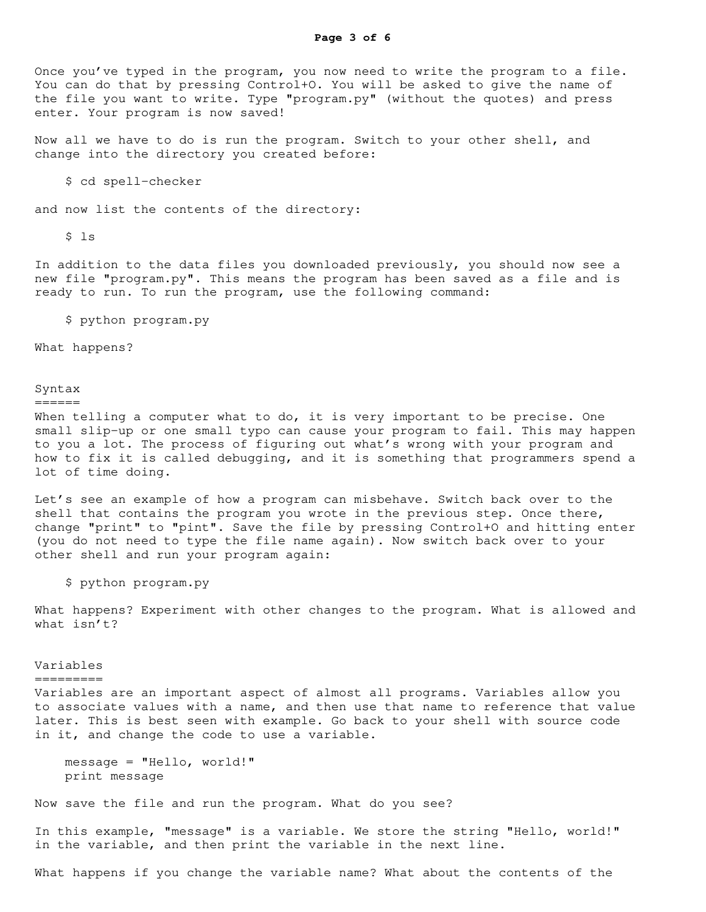Now all we have to do is run the program. Switch to your other shell, and change into the directory you created before:

\$ cd spell-checker

and now list the contents of the directory:

 $$ 1s$ 

In addition to the data files you downloaded previously, you should now see a new file "program.py". This means the program has been saved as a file and is ready to run. To run the program, use the following command:

\$ python program.py

What happens?

# Syntax

======

When telling a computer what to do, it is very important to be precise. One small slip-up or one small typo can cause your program to fail. This may happen to you a lot. The process of figuring out what's wrong with your program and how to fix it is called debugging, and it is something that programmers spend a lot of time doing.

Let's see an example of how a program can misbehave. Switch back over to the shell that contains the program you wrote in the previous step. Once there, change "print" to "pint". Save the file by pressing Control+O and hitting enter (you do not need to type the file name again). Now switch back over to your other shell and run your program again:

\$ python program.py

What happens? Experiment with other changes to the program. What is allowed and what isn't?

Variables

## =========

Variables are an important aspect of almost all programs. Variables allow you to associate values with a name, and then use that name to reference that value later. This is best seen with example. Go back to your shell with source code in it, and change the code to use a variable.

```
 message = "Hello, world!"
 print message
```
Now save the file and run the program. What do you see?

In this example, "message" is a variable. We store the string "Hello, world!" in the variable, and then print the variable in the next line.

What happens if you change the variable name? What about the contents of the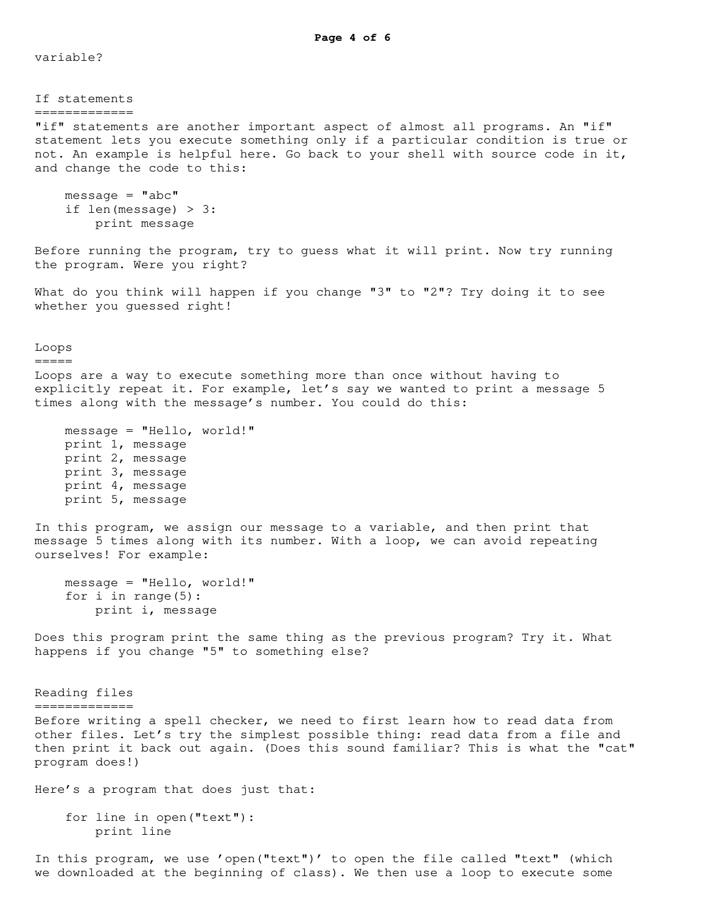**Page 4 of 6**

variable?

If statements ============= "if" statements are another important aspect of almost all programs. An "if" statement lets you execute something only if a particular condition is true or not. An example is helpful here. Go back to your shell with source code in it, and change the code to this:  $message = "abc"$  if len(message) > 3: print message Before running the program, try to guess what it will print. Now try running the program. Were you right? What do you think will happen if you change "3" to "2"? Try doing it to see whether you guessed right! Loops ===== Loops are a way to execute something more than once without having to explicitly repeat it. For example, let's say we wanted to print a message 5 times along with the message's number. You could do this: message = "Hello, world!" print 1, message print 2, message print 3, message print 4, message print 5, message In this program, we assign our message to a variable, and then print that message 5 times along with its number. With a loop, we can avoid repeating ourselves! For example: message = "Hello, world!" for i in range(5): print i, message Does this program print the same thing as the previous program? Try it. What happens if you change "5" to something else? Reading files ============= Before writing a spell checker, we need to first learn how to read data from other files. Let's try the simplest possible thing: read data from a file and then print it back out again. (Does this sound familiar? This is what the "cat" program does!) Here's a program that does just that: for line in open("text"): print line

In this program, we use 'open("text")' to open the file called "text" (which we downloaded at the beginning of class). We then use a loop to execute some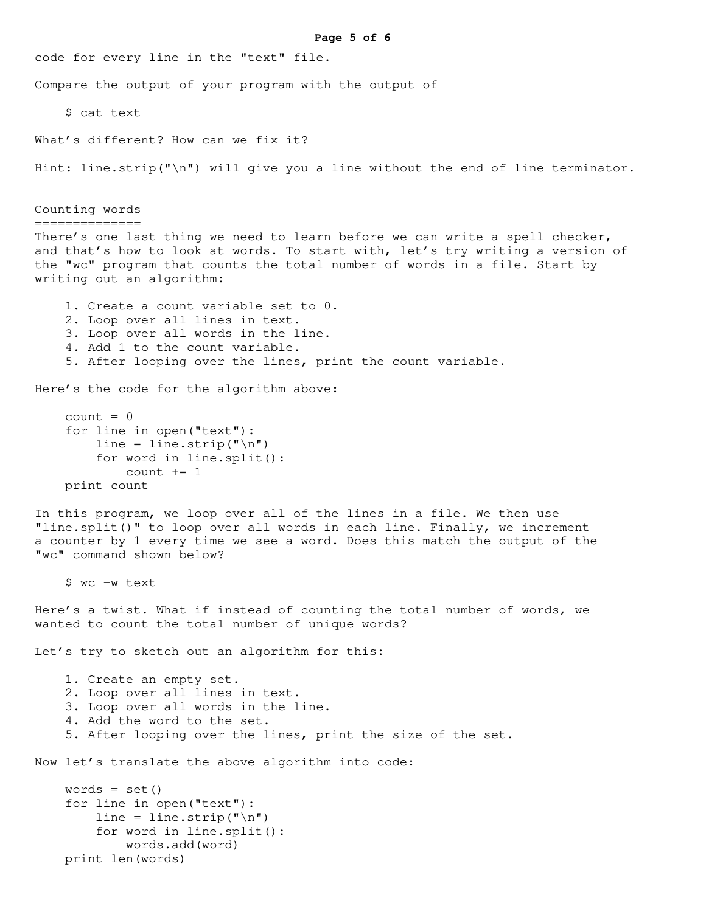```
Page 5 of 6
code for every line in the "text" file.
Compare the output of your program with the output of
     $ cat text
What's different? How can we fix it?
Hint: line.strip("\n") will give you a line without the end of line terminator.
Counting words
==============
There's one last thing we need to learn before we can write a spell checker,
and that's how to look at words. To start with, let's try writing a version of
the "wc" program that counts the total number of words in a file. Start by
writing out an algorithm:
     1. Create a count variable set to 0.
     2. Loop over all lines in text.
     3. Loop over all words in the line.
     4. Add 1 to the count variable.
     5. After looping over the lines, print the count variable.
Here's the code for the algorithm above:
    count = 0 for line in open("text"):
        line = line.strip("\ln")
         for word in line.split():
            count += 1 print count
In this program, we loop over all of the lines in a file. We then use
"line.split()" to loop over all words in each line. Finally, we increment
a counter by 1 every time we see a word. Does this match the output of the
"wc" command shown below?
     $ wc -w text
Here's a twist. What if instead of counting the total number of words, we
wanted to count the total number of unique words?
Let's try to sketch out an algorithm for this:
     1. Create an empty set.
     2. Loop over all lines in text.
     3. Loop over all words in the line.
     4. Add the word to the set.
     5. After looping over the lines, print the size of the set.
Now let's translate the above algorithm into code:
   words = set() for line in open("text"):
        line = line.strip("\ln")
         for word in line.split():
             words.add(word)
     print len(words)
```